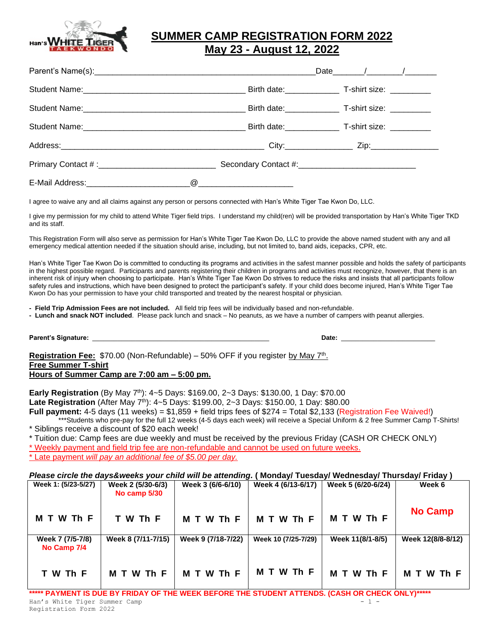

## **SUMMER CAMP REGISTRATION FORM 2022 May 23 - August 12, 2022**

|                                                                                                                 | Birth date: T-shirt size:         |
|-----------------------------------------------------------------------------------------------------------------|-----------------------------------|
|                                                                                                                 | Birth date: T-shirt size: _______ |
|                                                                                                                 |                                   |
| Address: 2010 2012 2013 2014 2014 2015 2016 2017 2014 2014 2015 2016 2017 2018 2014 2014 2014 2014 2014 2014 20 |                                   |
|                                                                                                                 |                                   |
|                                                                                                                 |                                   |

I agree to waive any and all claims against any person or persons connected with Han's White Tiger Tae Kwon Do, LLC.

I give my permission for my child to attend White Tiger field trips. I understand my child(ren) will be provided transportation by Han's White Tiger TKD and its staff.

This Registration Form will also serve as permission for Han's White Tiger Tae Kwon Do, LLC to provide the above named student with any and all emergency medical attention needed if the situation should arise, including, but not limited to, band aids, icepacks, CPR, etc.

Han's White Tiger Tae Kwon Do is committed to conducting its programs and activities in the safest manner possible and holds the safety of participants in the highest possible regard. Participants and parents registering their children in programs and activities must recognize, however, that there is an inherent risk of injury when choosing to participate. Han's White Tiger Tae Kwon Do strives to reduce the risks and insists that all participants follow safety rules and instructions, which have been designed to protect the participant's safety. If your child does become injured, Han's White Tiger Tae Kwon Do has your permission to have your child transported and treated by the nearest hospital or physician.

**- Field Trip Admission Fees are not included.** All field trip fees will be individually based and non-refundable.

**- Lunch and snack NOT included**. Please pack lunch and snack – No peanuts, as we have a number of campers with peanut allergies.

**Parent's Signature:** \_\_\_\_\_\_\_\_\_\_\_\_\_\_\_\_\_\_\_\_\_\_\_\_\_\_\_\_\_\_\_\_\_\_\_\_\_\_\_\_\_\_\_\_\_\_\_\_\_ **Date:** \_\_\_\_\_\_\_\_\_\_\_\_\_\_\_\_\_\_\_\_\_\_\_\_\_\_

Registration Fee: \$70.00 (Non-Refundable) - 50% OFF if you register by May 7<sup>th</sup>. **Free Summer T-shirt Hours of Summer Camp are 7:00 am – 5:00 pm.** 

**Early Registration** (By May 7<sup>th</sup>): 4~5 Days: \$169.00, 2~3 Days: \$130.00, 1 Day: \$70.00

**Late Registration** (After May 7<sup>th</sup>): 4~5 Days: \$199.00, 2~3 Days: \$150.00, 1 Day: \$80.00

**Full payment:** 4-5 days (11 weeks) = \$1,859 + field trips fees of \$274 = Total \$2,133 (Registration Fee Waived!) \*Students who pre-pay for the full 12 weeks (4-5 days each week) will receive a Special Uniform & 2 free Summer Camp T-Shirts! \* Siblings receive a discount of \$20 each week!

\* Tuition due: Camp fees are due weekly and must be received by the previous Friday (CASH OR CHECK ONLY)

\* Weekly payment and field trip fee are non-refundable and cannot be used on future weeks.

\* Late payment *will pay an additional fee of \$5.00 per day.*

#### *Please circle the days&weeks your child will be attending.* **( Monday/ Tuesday/ Wednesday/ Thursday/ Friday )**

| Week 1: (5/23-5/27)             | Week 2 (5/30-6/3)<br>No camp 5/30 | Week 3 (6/6-6/10)  | Week 4 (6/13-6/17)  | Week 5 (6/20-6/24) | Week 6            |
|---------------------------------|-----------------------------------|--------------------|---------------------|--------------------|-------------------|
| M T W Th F                      | T W Th F                          | M T W Th F         | M T W Th F          | M T W Th F         | <b>No Camp</b>    |
| Week 7 (7/5-7/8)<br>No Camp 7/4 | Week 8 (7/11-7/15)                | Week 9 (7/18-7/22) | Week 10 (7/25-7/29) | Week 11(8/1-8/5)   | Week 12(8/8-8/12) |
| T W Th F                        | M T W Th F                        | M T W Th F         | M T W Th F          | M T W Th F         | W Th F<br>M T     |

Han's White Tiger Summer Camp **\*\*\*\*\* PAYMENT IS DUE BY FRIDAY OF THE WEEK BEFORE THE STUDENT ATTENDS. (CASH OR CHECK ONLY)\*\*\*\*\***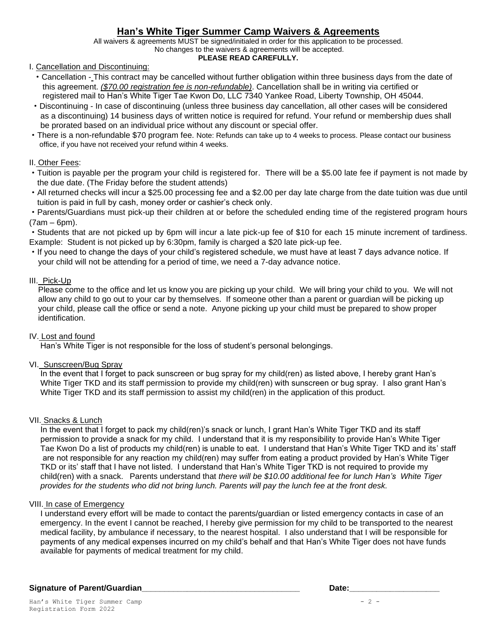### **Han's White Tiger Summer Camp Waivers & Agreements**

All waivers & agreements MUST be signed/initialed in order for this application to be processed. No changes to the waivers & agreements will be accepted.

#### **PLEASE READ CAREFULLY.**

I. Cancellation and Discontinuing:

- ·Cancellation This contract may be cancelled without further obligation within three business days from the date of this agreement. *(\$70.00 registration fee is non-refundable)*. Cancellation shall be in writing via certified or registered mail to Han's White Tiger Tae Kwon Do, LLC 7340 Yankee Road, Liberty Township, OH 45044.
- ·Discontinuing In case of discontinuing (unless three business day cancellation, all other cases will be considered as a discontinuing) 14 business days of written notice is required for refund. Your refund or membership dues shall be prorated based on an individual price without any discount or special offer.
- ·There is a non-refundable \$70 program fee. Note: Refunds can take up to 4 weeks to process. Please contact our business office, if you have not received your refund within 4 weeks.

### II. Other Fees:

- ·Tuition is payable per the program your child is registered for. There will be a \$5.00 late fee if payment is not made by the due date. (The Friday before the student attends)
- ·All returned checks will incur a \$25.00 processing fee and a \$2.00 per day late charge from the date tuition was due until tuition is paid in full by cash, money order or cashier's check only.

·Parents/Guardians must pick-up their children at or before the scheduled ending time of the registered program hours (7am – 6pm).

·Students that are not picked up by 6pm will incur a late pick-up fee of \$10 for each 15 minute increment of tardiness. Example: Student is not picked up by 6:30pm, family is charged a \$20 late pick-up fee.

·If you need to change the days of your child's registered schedule, we must have at least 7 days advance notice. If your child will not be attending for a period of time, we need a 7-day advance notice.

### III. Pick-Up

 Please come to the office and let us know you are picking up your child. We will bring your child to you. We will not allow any child to go out to your car by themselves. If someone other than a parent or guardian will be picking up your child, please call the office or send a note. Anyone picking up your child must be prepared to show proper identification.

### IV. Lost and found

Han's White Tiger is not responsible for the loss of student's personal belongings.

### VI. Sunscreen/Bug Spray

 In the event that I forget to pack sunscreen or bug spray for my child(ren) as listed above, I hereby grant Han's White Tiger TKD and its staff permission to provide my child(ren) with sunscreen or bug spray. I also grant Han's White Tiger TKD and its staff permission to assist my child(ren) in the application of this product.

### VII. Snacks & Lunch

 In the event that I forget to pack my child(ren)'s snack or lunch, I grant Han's White Tiger TKD and its staff permission to provide a snack for my child. I understand that it is my responsibility to provide Han's White Tiger Tae Kwon Do a list of products my child(ren) is unable to eat. I understand that Han's White Tiger TKD and its' staff are not responsible for any reaction my child(ren) may suffer from eating a product provided by Han's White Tiger TKD or its' staff that I have not listed. I understand that Han's White Tiger TKD is not required to provide my child(ren) with a snack. Parents understand that *there will be \$10.00 additional fee for lunch Han's White Tiger provides for the students who did not bring lunch. Parents will pay the lunch fee at the front desk.*

### VIII. In case of Emergency

 I understand every effort will be made to contact the parents/guardian or listed emergency contacts in case of an emergency. In the event I cannot be reached, I hereby give permission for my child to be transported to the nearest medical facility, by ambulance if necessary, to the nearest hospital. I also understand that I will be responsible for payments of any medical expenses incurred on my child's behalf and that Han's White Tiger does not have funds available for payments of medical treatment for my child.

### Signature of Parent/Guardian **Number of Parent/Guardian**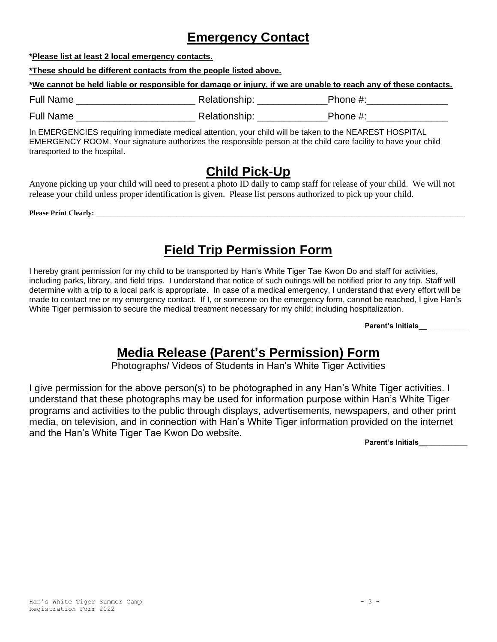## **Emergency Contact**

**\*Please list at least 2 local emergency contacts.**

**\*These should be different contacts from the people listed above.**

**\*We cannot be held liable or responsible for damage or injury, if we are unable to reach any of these contacts.** 

Full Name **Example 20** Full Name **Example 20** Relationship:  $\frac{1}{2}$  Phone #: Full Name \_\_\_\_\_\_\_\_\_\_\_\_\_\_\_\_\_\_\_\_\_\_ Relationship: \_\_\_\_\_\_\_\_\_\_\_\_\_Phone #:\_\_\_\_\_\_\_\_\_\_\_\_\_\_\_

In EMERGENCIES requiring immediate medical attention, your child will be taken to the NEAREST HOSPITAL EMERGENCY ROOM. Your signature authorizes the responsible person at the child care facility to have your child transported to the hospital.

## **Child Pick-Up**

Anyone picking up your child will need to present a photo ID daily to camp staff for release of your child. We will not release your child unless proper identification is given. Please list persons authorized to pick up your child.

**Please Print Clearly:** \_\_\_\_\_\_\_\_\_\_\_\_\_\_\_\_\_\_\_\_\_\_\_\_\_\_\_\_\_\_\_\_\_\_\_\_\_\_\_\_\_\_\_\_\_\_\_\_\_\_\_\_\_\_\_\_\_\_\_\_\_\_\_\_\_\_\_\_\_\_\_\_\_\_\_\_\_\_\_\_\_\_\_\_\_\_\_\_\_\_\_\_\_\_\_\_\_\_\_\_\_

# **Field Trip Permission Form**

I hereby grant permission for my child to be transported by Han's White Tiger Tae Kwon Do and staff for activities, including parks, library, and field trips. I understand that notice of such outings will be notified prior to any trip. Staff will determine with a trip to a local park is appropriate. In case of a medical emergency, I understand that every effort will be made to contact me or my emergency contact. If I, or someone on the emergency form, cannot be reached, I give Han's White Tiger permission to secure the medical treatment necessary for my child; including hospitalization.

**Parent's Initials\_\_\_\_\_\_\_\_\_\_\_\_**

# **Media Release (Parent's Permission) Form**

Photographs/ Videos of Students in Han's White Tiger Activities

I give permission for the above person(s) to be photographed in any Han's White Tiger activities. I understand that these photographs may be used for information purpose within Han's White Tiger programs and activities to the public through displays, advertisements, newspapers, and other print media, on television, and in connection with Han's White Tiger information provided on the internet and the Han's White Tiger Tae Kwon Do website.

**Parent's Initials\_\_\_\_\_\_\_\_\_\_\_\_**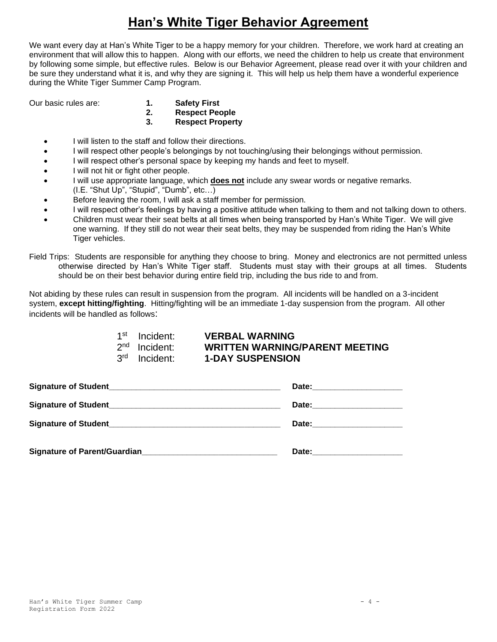# **Han's White Tiger Behavior Agreement**

We want every day at Han's White Tiger to be a happy memory for your children. Therefore, we work hard at creating an environment that will allow this to happen. Along with our efforts, we need the children to help us create that environment by following some simple, but effective rules. Below is our Behavior Agreement, please read over it with your children and be sure they understand what it is, and why they are signing it. This will help us help them have a wonderful experience during the White Tiger Summer Camp Program.

- Our basic rules are: **1. Safety First**
	- **2. Respect People**
	- **3. Respect Property**
	- I will listen to the staff and follow their directions.
	- I will respect other people's belongings by not touching/using their belongings without permission.
	- I will respect other's personal space by keeping my hands and feet to myself.
	- I will not hit or fight other people.
	- I will use appropriate language, which **does not** include any swear words or negative remarks. (I.E. "Shut Up", "Stupid", "Dumb", etc…)
	- Before leaving the room, I will ask a staff member for permission.
	- I will respect other's feelings by having a positive attitude when talking to them and not talking down to others.
	- Children must wear their seat belts at all times when being transported by Han's White Tiger. We will give one warning. If they still do not wear their seat belts, they may be suspended from riding the Han's White Tiger vehicles.

Field Trips: Students are responsible for anything they choose to bring. Money and electronics are not permitted unless otherwise directed by Han's White Tiger staff. Students must stay with their groups at all times. Students should be on their best behavior during entire field trip, including the bus ride to and from.

Not abiding by these rules can result in suspension from the program. All incidents will be handled on a 3-incident system, **except hitting/fighting**. Hitting/fighting will be an immediate 1-day suspension from the program. All other incidents will be handled as follows:

| 1 <sup>st</sup> Incident: | <b>VERBAL WARNING</b>                 |
|---------------------------|---------------------------------------|
| 2 <sup>nd</sup> Incident: | <b>WRITTEN WARNING/PARENT MEETING</b> |
| 3 <sup>rd</sup> Incident: | <b>1-DAY SUSPENSION</b>               |

| <b>Signature of Student_</b><br><u> 1980 - Jan Barnett, fransk politik (d. 1980)</u> | Date: ________________________  |
|--------------------------------------------------------------------------------------|---------------------------------|
|                                                                                      | Date:________________________   |
| <b>Signature of Student</b>                                                          | Date: _________________________ |
| Signature of Parent/Guardian                                                         | Date:                           |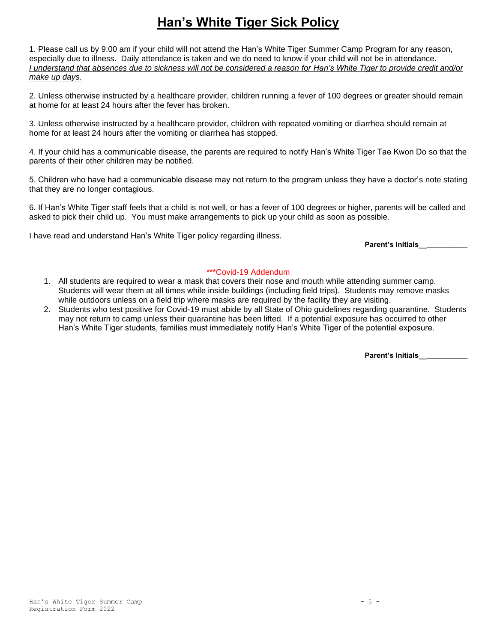# **Han's White Tiger Sick Policy**

1. Please call us by 9:00 am if your child will not attend the Han's White Tiger Summer Camp Program for any reason, especially due to illness. Daily attendance is taken and we do need to know if your child will not be in attendance. *I understand that absences due to sickness will not be considered a reason for Han's White Tiger to provide credit and/or make up days.*

2. Unless otherwise instructed by a healthcare provider, children running a fever of 100 degrees or greater should remain at home for at least 24 hours after the fever has broken.

3. Unless otherwise instructed by a healthcare provider, children with repeated vomiting or diarrhea should remain at home for at least 24 hours after the vomiting or diarrhea has stopped.

4. If your child has a communicable disease, the parents are required to notify Han's White Tiger Tae Kwon Do so that the parents of their other children may be notified.

5. Children who have had a communicable disease may not return to the program unless they have a doctor's note stating that they are no longer contagious.

6. If Han's White Tiger staff feels that a child is not well, or has a fever of 100 degrees or higher, parents will be called and asked to pick their child up. You must make arrangements to pick up your child as soon as possible.

I have read and understand Han's White Tiger policy regarding illness.

**Parent's Initials\_\_\_\_\_\_\_\_\_\_\_\_**

### \*\*\*Covid-19 Addendum

- 1. All students are required to wear a mask that covers their nose and mouth while attending summer camp. Students will wear them at all times while inside buildings (including field trips). Students may remove masks while outdoors unless on a field trip where masks are required by the facility they are visiting.
- 2. Students who test positive for Covid-19 must abide by all State of Ohio guidelines regarding quarantine. Students may not return to camp unless their quarantine has been lifted. If a potential exposure has occurred to other Han's White Tiger students, families must immediately notify Han's White Tiger of the potential exposure.

**Parent's Initials\_\_\_\_\_\_\_\_\_\_\_\_**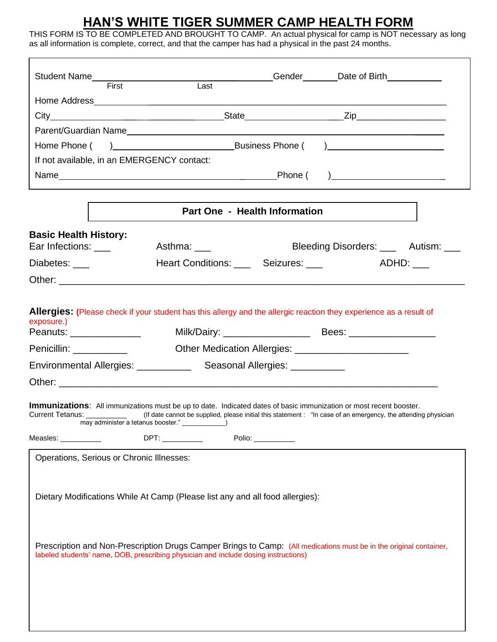## **HAN'S WHITE TIGER SUMMER CAMP HEALTH FORM**

THIS FORM IS TO BE COMPLETED AND BROUGHT TO CAMP. An actual physical for camp is NOT necessary as long as all information is complete, correct, and that the camper has had a physical in the past 24 months.

|                                           |                                                                                                                                                                                  |                                  | _Gender________Date of Birth____________                                                                                                      |  |
|-------------------------------------------|----------------------------------------------------------------------------------------------------------------------------------------------------------------------------------|----------------------------------|-----------------------------------------------------------------------------------------------------------------------------------------------|--|
|                                           | Student Name First  Example 2011                                                                                                                                                 |                                  |                                                                                                                                               |  |
|                                           |                                                                                                                                                                                  |                                  |                                                                                                                                               |  |
|                                           |                                                                                                                                                                                  |                                  |                                                                                                                                               |  |
|                                           |                                                                                                                                                                                  |                                  |                                                                                                                                               |  |
|                                           |                                                                                                                                                                                  |                                  |                                                                                                                                               |  |
|                                           | If not available, in an EMERGENCY contact:                                                                                                                                       |                                  |                                                                                                                                               |  |
|                                           |                                                                                                                                                                                  |                                  | $\overline{a}$                                                                                                                                |  |
|                                           |                                                                                                                                                                                  |                                  |                                                                                                                                               |  |
|                                           |                                                                                                                                                                                  | Part One - Health Information    |                                                                                                                                               |  |
| <b>Basic Health History:</b>              |                                                                                                                                                                                  |                                  |                                                                                                                                               |  |
| Ear Infections: ___                       | Asthma: ____                                                                                                                                                                     |                                  | Bleeding Disorders: ____ Autism: ___                                                                                                          |  |
| Diabetes: ____                            |                                                                                                                                                                                  | Heart Conditions: Seizures: 1978 |                                                                                                                                               |  |
|                                           |                                                                                                                                                                                  |                                  |                                                                                                                                               |  |
| exposure.)                                |                                                                                                                                                                                  |                                  | Allergies: (Please check if your student has this allergy and the allergic reaction they experience as a result of                            |  |
|                                           | Environmental Allergies: ______________ Seasonal Allergies: ___________                                                                                                          |                                  |                                                                                                                                               |  |
|                                           |                                                                                                                                                                                  |                                  |                                                                                                                                               |  |
|                                           | <b>Immunizations:</b> All immunizations must be up to date. Indicated dates of basic immunization or most recent booster.<br>may administer a tetanus booster." _______________) |                                  | Current Tetanus: _____________ (If date cannot be supplied, please initial this statement : "In case of an emergency, the attending physician |  |
| Measles: ____________                     |                                                                                                                                                                                  | Polio: __________                |                                                                                                                                               |  |
| Operations, Serious or Chronic Illnesses: |                                                                                                                                                                                  |                                  |                                                                                                                                               |  |
|                                           | Dietary Modifications While At Camp (Please list any and all food allergies):                                                                                                    |                                  |                                                                                                                                               |  |
|                                           | labeled students' name, DOB, prescribing physician and include dosing instructions)                                                                                              |                                  | Prescription and Non-Prescription Drugs Camper Brings to Camp: (All medications must be in the original container,                            |  |
|                                           |                                                                                                                                                                                  |                                  |                                                                                                                                               |  |